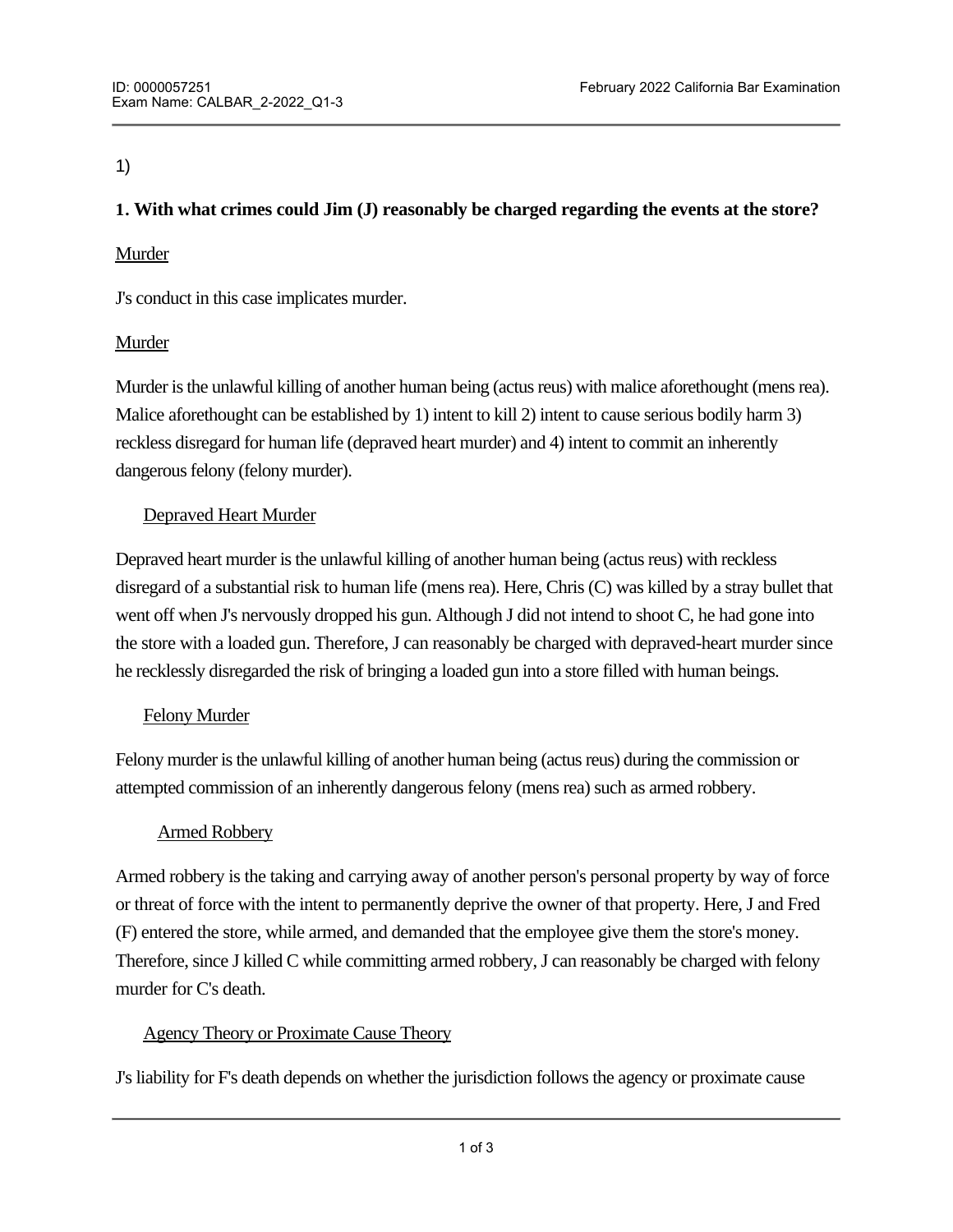## 1)

# **1. With what crimes could Jim (J) reasonably be charged regarding the events at the store?**

## Murder

J's conduct in this case implicates murder.

# Murder

Murder is the unlawful killing of another human being (actus reus) with malice aforethought (mens rea). Malice aforethought can be established by 1) intent to kill 2) intent to cause serious bodily harm 3) reckless disregard for human life (depraved heart murder) and 4) intent to commit an inherently dangerous felony (felony murder).

# Depraved Heart Murder

Depraved heart murder is the unlawful killing of another human being (actus reus) with reckless disregard of a substantial risk to human life (mens rea). Here, Chris (C) was killed by a stray bullet that went off when J's nervously dropped his gun. Although J did not intend to shoot C, he had gone into the store with a loaded gun. Therefore, J can reasonably be charged with depraved-heart murder since he recklessly disregarded the risk of bringing a loaded gun into a store filled with human beings.

## Felony Murder

Felony murder is the unlawful killing of another human being (actus reus) during the commission or attempted commission of an inherently dangerous felony (mens rea) such as armed robbery.

## Armed Robbery

Armed robbery is the taking and carrying away of another person's personal property by way of force or threat of force with the intent to permanently deprive the owner of that property. Here, J and Fred (F) entered the store, while armed, and demanded that the employee give them the store's money. Therefore, since J killed C while committing armed robbery, J can reasonably be charged with felony murder for C's death.

## Agency Theory or Proximate Cause Theory

J's liability for F's death depends on whether the jurisdiction follows the agency or proximate cause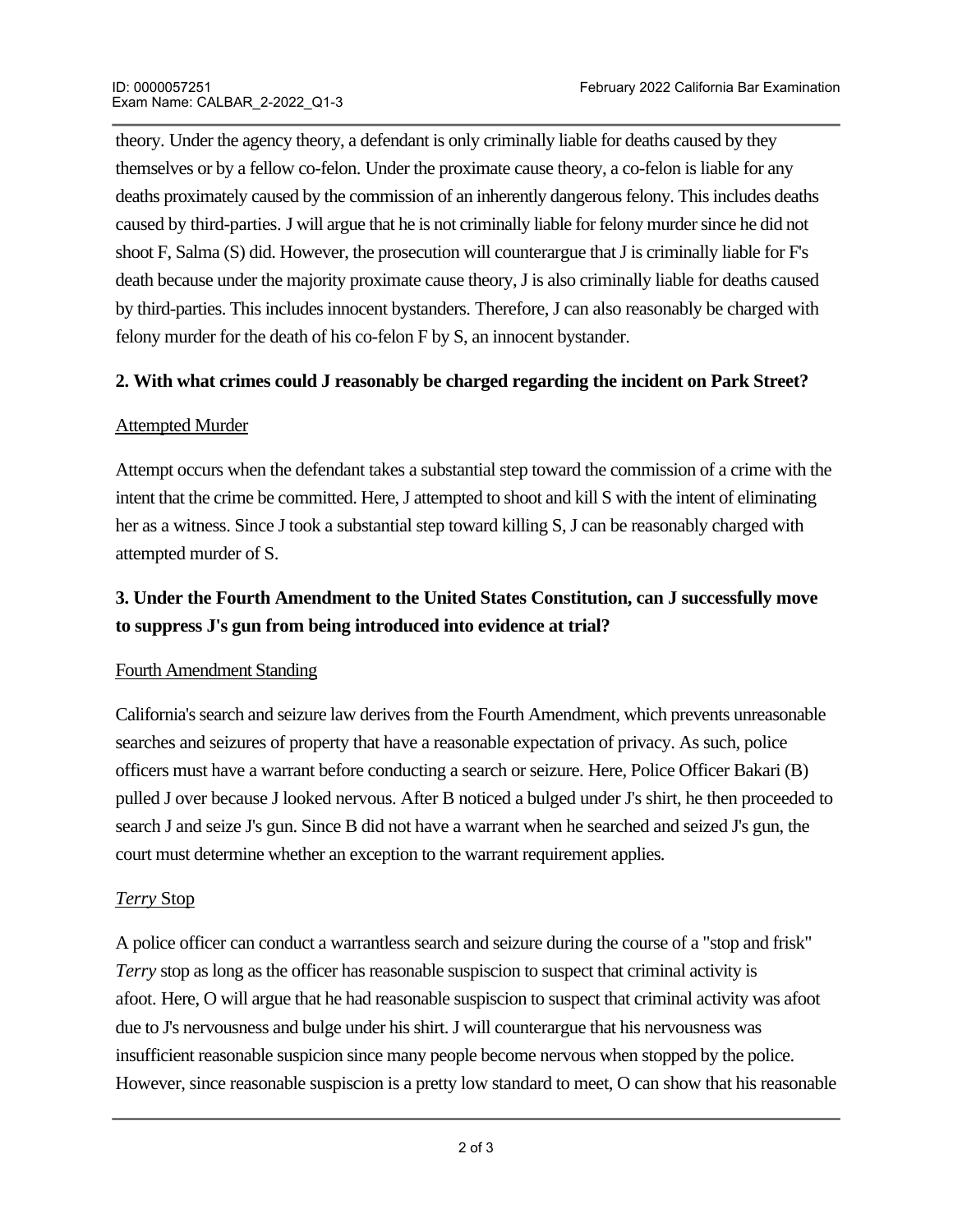theory. Under the agency theory, a defendant is only criminally liable for deaths caused by they themselves or by a fellow co-felon. Under the proximate cause theory, a co-felon is liable for any deaths proximately caused by the commission of an inherently dangerous felony. This includes deaths caused by third-parties. J will argue that he is not criminally liable for felony murder since he did not shoot F, Salma (S) did. However, the prosecution will counterargue that J is criminally liable for F's death because under the majority proximate cause theory, J is also criminally liable for deaths caused by third-parties. This includes innocent bystanders. Therefore, J can also reasonably be charged with felony murder for the death of his co-felon F by S, an innocent bystander.

## **2. With what crimes could J reasonably be charged regarding the incident on Park Street?**

## **Attempted Murder**

Attempt occurs when the defendant takes a substantial step toward the commission of a crime with the intent that the crime be committed. Here, J attempted to shoot and kill S with the intent of eliminating her as a witness. Since J took a substantial step toward killing S, J can be reasonably charged with attempted murder of S.

# **3. Under the Fourth Amendment to the United States Constitution, can J successfully move to suppress J's gun from being introduced into evidence at trial?**

## Fourth Amendment Standing

California's search and seizure law derives from the Fourth Amendment, which prevents unreasonable searches and seizures of property that have a reasonable expectation of privacy. As such, police officers must have a warrant before conducting a search or seizure. Here, Police Officer Bakari (B) pulled J over because J looked nervous. After B noticed a bulged under J's shirt, he then proceeded to search J and seize J's gun. Since B did not have a warrant when he searched and seized J's gun, the court must determine whether an exception to the warrant requirement applies.

## *Terry* Stop

A police officer can conduct a warrantless search and seizure during the course of a "stop and frisk" *Terry* stop as long as the officer has reasonable suspiscion to suspect that criminal activity is afoot. Here, O will argue that he had reasonable suspiscion to suspect that criminal activity was afoot due to J's nervousness and bulge under his shirt. J will counterargue that his nervousness was insufficient reasonable suspicion since many people become nervous when stopped by the police. However, since reasonable suspiscion is a pretty low standard to meet, O can show that his reasonable

suspiscion was sufficient to suspect that criminal activity was afoot.